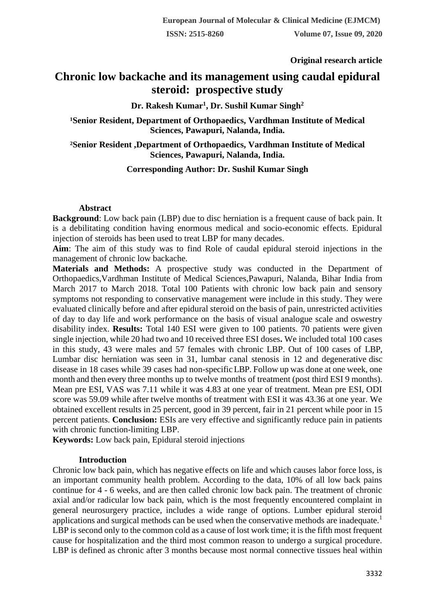**Original research article** 

# **Chronic low backache and its management using caudal epidural steroid: prospective study**

## **Dr. Rakesh Kumar<sup>1</sup> , Dr. Sushil Kumar Singh<sup>2</sup>**

<sup>1</sup>Senior Resident, Department of Orthopaedics, Vardhman Institute of Medical **Sciences, Pawapuri, Nalanda, India.**

**²Senior Resident ,Department of Orthopaedics, Vardhman Institute of Medical Sciences, Pawapuri, Nalanda, India.**

## **Corresponding Author: Dr. Sushil Kumar Singh**

#### **Abstract**

**Background**: Low back pain (LBP) due to disc herniation is a frequent cause of back pain. It is a debilitating condition having enormous medical and socio-economic effects. Epidural injection of steroids has been used to treat LBP for many decades.

**Aim**: The aim of this study was to find Role of caudal epidural steroid injections in the management of chronic low backache.

**Materials and Methods:** A prospective study was conducted in the Department of Orthopaedics,Vardhman Institute of Medical Sciences,Pawapuri, Nalanda, Bihar India from March 2017 to March 2018. Total 100 Patients with chronic low back pain and sensory symptoms not responding to conservative management were include in this study. They were evaluated clinically before and after epidural steroid on the basis of pain, unrestricted activities of day to day life and work performance on the basis of visual analogue scale and oswestry disability index. **Results:** Total 140 ESI were given to 100 patients. 70 patients were given single injection, while 20 had two and 10 received three ESI doses**.** We included total 100 cases in this study, 43 were males and 57 females with chronic LBP. Out of 100 cases of LBP, Lumbar disc herniation was seen in 31, lumbar canal stenosis in 12 and degenerative disc disease in 18 cases while 39 cases had non-specificLBP. Follow up was done at one week, one month and then every three months up to twelve months of treatment (post third ESI 9 months). Mean pre ESI, VAS was 7.11 while it was 4.83 at one year of treatment. Mean pre ESI, ODI score was 59.09 while after twelve months of treatment with ESI it was 43.36 at one year. We obtained excellent results in 25 percent, good in 39 percent, fair in 21 percent while poor in 15 percent patients. **Conclusion:** ESIs are very effective and significantly reduce pain in patients with chronic function-limiting LBP.

**Keywords:** Low back pain, Epidural steroid injections

## **Introduction**

Chronic low back pain, which has negative effects on life and which causes labor force loss, is an important community health problem. According to the data, 10% of all low back pains continue for 4 - 6 weeks, and are then called chronic low back pain. The treatment of chronic axial and/or radicular low back pain, which is the most frequently encountered complaint in general neurosurgery practice, includes a wide range of options. Lumber epidural steroid applications and surgical methods can be used when the conservative methods are inadequate.<sup>1</sup> LBP is second only to the common cold as a cause of lost work time; it is the fifth most frequent cause for hospitalization and the third most common reason to undergo a surgical procedure. LBP is defined as chronic after 3 months because most normal connective tissues heal within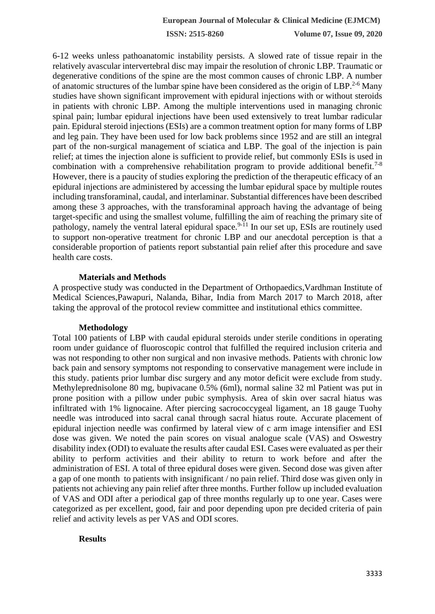**ISSN: 2515-8260 Volume 07, Issue 09, 2020**

6-12 weeks unless pathoanatomic instability persists. A slowed rate of tissue repair in the relatively avascular intervertebral disc may impair the resolution of chronic LBP. Traumatic or degenerative conditions of the spine are the most common causes of chronic LBP. A number of anatomic structures of the lumbar spine have been considered as the origin of  $LBP<sup>2-6</sup>$  Many studies have shown significant improvement with epidural injections with or without steroids in patients with chronic LBP. Among the multiple interventions used in managing chronic spinal pain; lumbar epidural injections have been used extensively to treat lumbar radicular pain. Epidural steroid injections (ESIs) are a common treatment option for many forms of LBP and leg pain. They have been used for low back problems since 1952 and are still an integral part of the non-surgical management of sciatica and LBP. The goal of the injection is pain relief; at times the injection alone is sufficient to provide relief, but commonly ESIs is used in combination with a comprehensive rehabilitation program to provide additional benefit.<sup>7-8</sup> However, there is a paucity of studies exploring the prediction of the therapeutic efficacy of an epidural injections are administered by accessing the lumbar epidural space by multiple routes including transforaminal, caudal, and interlaminar. Substantial differences have been described among these 3 approaches, with the transforaminal approach having the advantage of being target-specific and using the smallest volume, fulfilling the aim of reaching the primary site of pathology, namely the ventral lateral epidural space.<sup>9-11</sup> In our set up, ESIs are routinely used to support non-operative treatment for chronic LBP and our anecdotal perception is that a considerable proportion of patients report substantial pain relief after this procedure and save health care costs.

## **Materials and Methods**

A prospective study was conducted in the Department of Orthopaedics,Vardhman Institute of Medical Sciences,Pawapuri, Nalanda, Bihar, India from March 2017 to March 2018, after taking the approval of the protocol review committee and institutional ethics committee.

## **Methodology**

Total 100 patients of LBP with caudal epidural steroids under sterile conditions in operating room under guidance of fluoroscopic control that fulfilled the required inclusion criteria and was not responding to other non surgical and non invasive methods. Patients with chronic low back pain and sensory symptoms not responding to conservative management were include in this study. patients prior lumbar disc surgery and any motor deficit were exclude from study. Methyleprednisolone 80 mg, bupivacane 0.5% (6ml), normal saline 32 ml Patient was put in prone position with a pillow under pubic symphysis. Area of skin over sacral hiatus was infiltrated with 1% lignocaine. After piercing sacrococcygeal ligament, an 18 gauge Tuohy needle was introduced into sacral canal through sacral hiatus route. Accurate placement of epidural injection needle was confirmed by lateral view of c arm image intensifier and ESI dose was given. We noted the pain scores on visual analogue scale (VAS) and Oswestry disability index (ODI) to evaluate the results after caudal ESI. Cases were evaluated as per their ability to perform activities and their ability to return to work before and after the administration of ESI. A total of three epidural doses were given. Second dose was given after a gap of one month to patients with insignificant / no pain relief. Third dose was given only in patients not achieving any pain relief after three months. Further follow up included evaluation of VAS and ODI after a periodical gap of three months regularly up to one year. Cases were categorized as per excellent, good, fair and poor depending upon pre decided criteria of pain relief and activity levels as per VAS and ODI scores.

# **Results**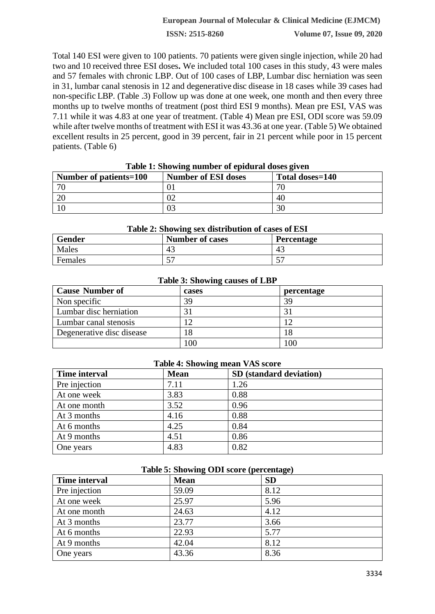## **European Journal of Molecular & Clinical Medicine (EJMCM)**

**ISSN: 2515-8260 Volume 07, Issue 09, 2020**

Total 140 ESI were given to 100 patients. 70 patients were given single injection, while 20 had two and 10 received three ESI doses**.** We included total 100 cases in this study, 43 were males and 57 females with chronic LBP. Out of 100 cases of LBP, Lumbar disc herniation was seen in 31, lumbar canal stenosis in 12 and degenerative disc disease in 18 cases while 39 cases had non-specific LBP. (Table .3) Follow up was done at one week, one month and then every three months up to twelve months of treatment (post third ESI 9 months). Mean pre ESI, VAS was 7.11 while it was 4.83 at one year of treatment. (Table 4) Mean pre ESI, ODI score was 59.09 while after twelve months of treatment with ESI it was 43.36 at one year. (Table 5) We obtained excellent results in 25 percent, good in 39 percent, fair in 21 percent while poor in 15 percent patients. (Table 6)

| Table 1: Showing number of epidural doses given |                            |                 |  |
|-------------------------------------------------|----------------------------|-----------------|--|
| Number of patients=100                          | <b>Number of ESI doses</b> | Total doses=140 |  |
| 70                                              |                            | 71              |  |
|                                                 |                            | 40              |  |
|                                                 |                            | 30              |  |

#### **Table 1: Showing number of epidural doses given**

| Table 2: Showing sex distribution of cases of ESI |                        |                   |
|---------------------------------------------------|------------------------|-------------------|
| <b>Gender</b>                                     | <b>Number of cases</b> | <b>Percentage</b> |
| Males                                             | 43                     | 43                |
| Females                                           | 5 <sup>7</sup>         |                   |

#### **Table 3: Showing causes of LBP**

| $\overline{\phantom{0}}$     |       |            |
|------------------------------|-------|------------|
| <b>Cause Number of</b>       | cases | percentage |
| Non specific                 | 39    | 39         |
| Lumbar disc herniation       | ⌒     |            |
| <b>Lumbar canal stenosis</b> |       |            |
| Degenerative disc disease    | 18    | 18         |
|                              | 100   | 100        |

#### **Table 4: Showing mean VAS score**

| <b>Time interval</b> | <b>Mean</b> | SD (standard deviation) |
|----------------------|-------------|-------------------------|
| Pre injection        | 7.11        | 1.26                    |
| At one week          | 3.83        | 0.88                    |
| At one month         | 3.52        | 0.96                    |
| At 3 months          | 4.16        | 0.88                    |
| At 6 months          | 4.25        | 0.84                    |
| At 9 months          | 4.51        | 0.86                    |
| One years            | 4.83        | 0.82                    |

#### **Table 5: Showing ODI score (percentage)**

| <b>Time interval</b> | <b>Mean</b> | <b>SD</b> |
|----------------------|-------------|-----------|
| Pre injection        | 59.09       | 8.12      |
| At one week          | 25.97       | 5.96      |
| At one month         | 24.63       | 4.12      |
| At 3 months          | 23.77       | 3.66      |
| At 6 months          | 22.93       | 5.77      |
| At 9 months          | 42.04       | 8.12      |
| One years            | 43.36       | 8.36      |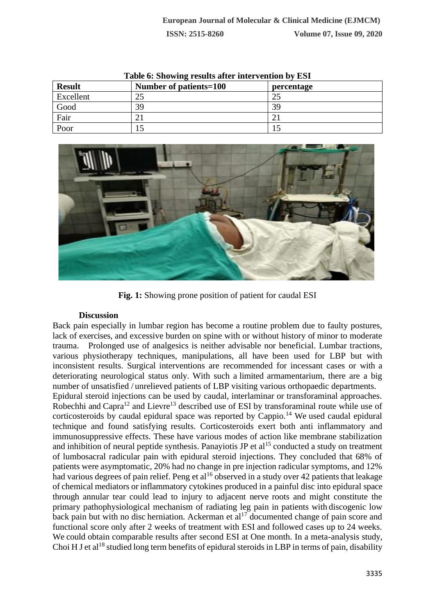| Table o: Showing results after intervention by EST |                        |            |
|----------------------------------------------------|------------------------|------------|
| <b>Result</b>                                      | Number of patients=100 | percentage |
| Excellent                                          | 25                     | 25         |
| Good                                               | 39                     | 39         |
| Fair                                               |                        |            |
| Poor                                               |                        |            |

**Table 6: Showing results after intervention by ESI**



**Fig. 1:** Showing prone position of patient for caudal ESI

# **Discussion**

Back pain especially in lumbar region has become a routine problem due to faulty postures, lack of exercises, and excessive burden on spine with or without history of minor to moderate trauma. Prolonged use of analgesics is neither advisable nor beneficial. Lumbar tractions, various physiotherapy techniques, manipulations, all have been used for LBP but with inconsistent results. Surgical interventions are recommended for incessant cases or with a deteriorating neurological status only. With such a limited armamentarium, there are a big number of unsatisfied / unrelieved patients of LBP visiting various orthopaedic departments.

Epidural steroid injections can be used by caudal, interlaminar or transforaminal approaches. Robechhi and Capra<sup>12</sup> and Lievre<sup>13</sup> described use of ESI by transforaminal route while use of corticosteroids by caudal epidural space was reported by Cappio.<sup>14</sup> We used caudal epidural technique and found satisfying results. Corticosteroids exert both anti inflammatory and immunosuppressive effects. These have various modes of action like membrane stabilization and inhibition of neural peptide synthesis. Panayiotis JP et  $al<sup>15</sup>$  conducted a study on treatment of lumbosacral radicular pain with epidural steroid injections. They concluded that 68% of patients were asymptomatic, 20% had no change in pre injection radicular symptoms, and 12% had various degrees of pain relief. Peng et al<sup>16</sup> observed in a study over 42 patients that leakage of chemical mediators or inflammatory cytokines produced in a painful disc into epidural space through annular tear could lead to injury to adjacent nerve roots and might constitute the primary pathophysiological mechanism of radiating leg pain in patients with discogenic low back pain but with no disc herniation. Ackerman et  $al<sup>17</sup>$  documented change of pain score and functional score only after 2 weeks of treatment with ESI and followed cases up to 24 weeks. We could obtain comparable results after second ESI at One month. In a meta-analysis study, Choi H J et al<sup>18</sup> studied long term benefits of epidural steroids in LBP in terms of pain, disability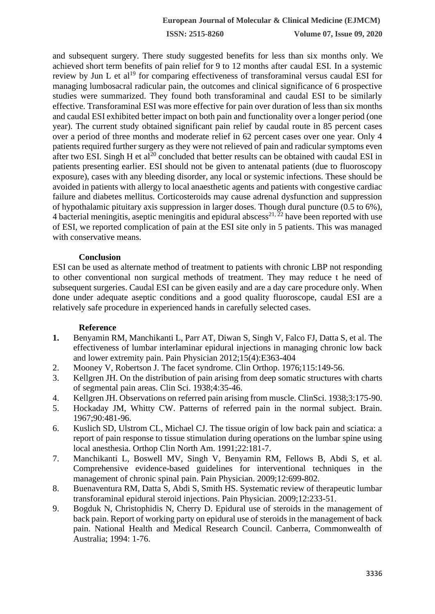**ISSN: 2515-8260 Volume 07, Issue 09, 2020**

and subsequent surgery. There study suggested benefits for less than six months only. We achieved short term benefits of pain relief for 9 to 12 months after caudal ESI. In a systemic review by Jun L et al<sup>19</sup> for comparing effectiveness of transforaminal versus caudal ESI for managing lumbosacral radicular pain, the outcomes and clinical significance of 6 prospective studies were summarized. They found both transforaminal and caudal ESI to be similarly effective. Transforaminal ESI was more effective for pain over duration of less than six months and caudal ESI exhibited better impact on both pain and functionality over a longer period (one year). The current study obtained significant pain relief by caudal route in 85 percent cases over a period of three months and moderate relief in 62 percent cases over one year. Only 4 patients required further surgery as they were not relieved of pain and radicular symptoms even after two ESI. Singh H et al<sup>20</sup> concluded that better results can be obtained with caudal ESI in patients presenting earlier. ESI should not be given to antenatal patients (due to fluoroscopy exposure), cases with any bleeding disorder, any local or systemic infections. These should be avoided in patients with allergy to local anaesthetic agents and patients with congestive cardiac failure and diabetes mellitus. Corticosteroids may cause adrenal dysfunction and suppression of hypothalamic pituitary axis suppression in larger doses. Though dural puncture (0.5 to 6%), 4 bacterial meningitis, aseptic meningitis and epidural abscess<sup>21,  $\bar{2}^2$ </sup> have been reported with use of ESI, we reported complication of pain at the ESI site only in 5 patients. This was managed with conservative means.

## **Conclusion**

ESI can be used as alternate method of treatment to patients with chronic LBP not responding to other conventional non surgical methods of treatment. They may reduce t he need of subsequent surgeries. Caudal ESI can be given easily and are a day care procedure only. When done under adequate aseptic conditions and a good quality fluoroscope, caudal ESI are a relatively safe procedure in experienced hands in carefully selected cases.

## **Reference**

- **1.** Benyamin RM, Manchikanti L, Parr AT, Diwan S, Singh V, Falco FJ, Datta S, et al. The effectiveness of lumbar interlaminar epidural injections in managing chronic low back and lower extremity pain. Pain Physician 2012;15(4):E363-404
- 2. Mooney V, Robertson J. The facet syndrome. Clin Orthop. 1976;115:149-56.
- 3. Kellgren JH. On the distribution of pain arising from deep somatic structures with charts of segmental pain areas. Clin Sci. 1938;4:35-46.
- 4. Kellgren JH. Observations on referred pain arising from muscle. ClinSci. 1938;3:175-90.
- 5. Hockaday JM, Whitty CW. Patterns of referred pain in the normal subject. Brain. 1967;90:481-96.
- 6. Kuslich SD, Ulstrom CL, Michael CJ. The tissue origin of low back pain and sciatica: a report of pain response to tissue stimulation during operations on the lumbar spine using local anesthesia. Orthop Clin North Am. 1991;22:181-7.
- 7. Manchikanti L, Boswell MV, Singh V, Benyamin RM, Fellows B, Abdi S, et al. Comprehensive evidence-based guidelines for interventional techniques in the management of chronic spinal pain. Pain Physician. 2009;12:699-802.
- 8. Buenaventura RM, Datta S, Abdi S, Smith HS. Systematic review of therapeutic lumbar transforaminal epidural steroid injections. Pain Physician. 2009;12:233-51.
- 9. Bogduk N, Christophidis N, Cherry D. Epidural use of steroids in the management of back pain. Report of working party on epidural use of steroids in the management of back pain. National Health and Medical Research Council. Canberra, Commonwealth of Australia; 1994: 1-76.